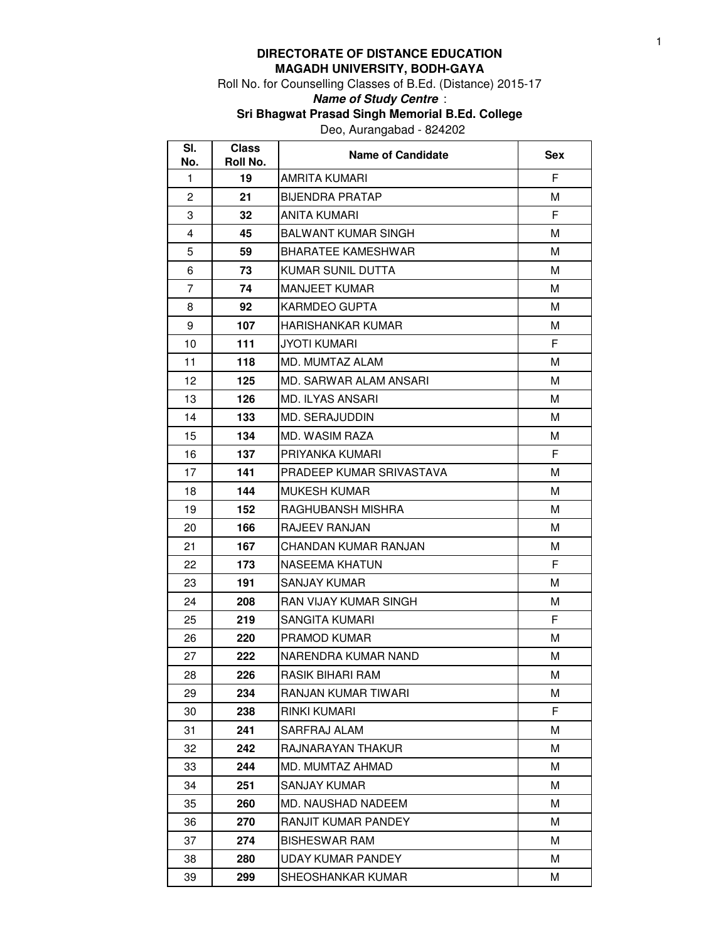## **DIRECTORATE OF DISTANCE EDUCATION MAGADH UNIVERSITY, BODH-GAYA**

Roll No. for Counselling Classes of B.Ed. (Distance) 2015-17

## **Name of Study Centre** :

**Sri Bhagwat Prasad Singh Memorial B.Ed. College**

Deo, Aurangabad - 824202

| SI.<br>No.     | <b>Class</b><br>Roll No. | <b>Name of Candidate</b>   | <b>Sex</b> |
|----------------|--------------------------|----------------------------|------------|
| 1              | 19                       | AMRITA KUMARI              | F          |
| $\overline{2}$ | 21                       | BIJENDRA PRATAP            | м          |
| 3              | 32                       | ANITA KUMARI               | F.         |
| $\overline{4}$ | 45                       | <b>BALWANT KUMAR SINGH</b> | м          |
| 5              | 59                       | <b>BHARATEE KAMESHWAR</b>  | М          |
| 6              | 73                       | KUMAR SUNIL DUTTA          | M          |
| $\overline{7}$ | 74                       | <b>MANJEET KUMAR</b>       | м          |
| 8              | 92                       | KARMDEO GUPTA              | М          |
| 9              | 107                      | HARISHANKAR KUMAR          | м          |
| 10             | 111                      | <b>JYOTI KUMARI</b>        | F          |
| 11             | 118                      | MD. MUMTAZ ALAM            | М          |
| 12             | 125                      | MD. SARWAR ALAM ANSARI     | м          |
| 13             | 126                      | <b>MD. ILYAS ANSARI</b>    | м          |
| 14             | 133                      | MD. SERAJUDDIN             | м          |
| 15             | 134                      | MD. WASIM RAZA             | М          |
| 16             | 137                      | PRIYANKA KUMARI            | F          |
| 17             | 141                      | PRADEEP KUMAR SRIVASTAVA   | М          |
| 18             | 144                      | <b>MUKESH KUMAR</b>        | М          |
| 19             | 152                      | RAGHUBANSH MISHRA          | м          |
| 20             | 166                      | RAJEEV RANJAN              | м          |
| 21             | 167                      | CHANDAN KUMAR RANJAN       | м          |
| 22             | 173                      | NASEEMA KHATUN             | F.         |
| 23             | 191                      | SANJAY KUMAR               | М          |
| 24             | 208                      | RAN VIJAY KUMAR SINGH      | м          |
| 25             | 219                      | SANGITA KUMARI             | F          |
| 26             | 220                      | PRAMOD KUMAR               | м          |
| 27             | 222                      | NARENDRA KUMAR NAND        | М          |
| 28             | 226                      | RASIK BIHARI RAM           | м          |
| 29             | 234                      | RANJAN KUMAR TIWARI        | м          |
| 30             | 238                      | RINKI KUMARI               | F          |
| 31             | 241                      | SARFRAJ ALAM               | М          |
| 32             | 242                      | RAJNARAYAN THAKUR          | М          |
| 33             | 244                      | MD. MUMTAZ AHMAD           | м          |
| 34             | 251                      | SANJAY KUMAR               | м          |
| 35             | 260                      | MD. NAUSHAD NADEEM         | М          |
| 36             | 270                      | RANJIT KUMAR PANDEY        | Μ          |
| 37             | 274                      | <b>BISHESWAR RAM</b>       | Μ          |
| 38             | 280                      | UDAY KUMAR PANDEY          | Μ          |
| 39             | 299                      | SHEOSHANKAR KUMAR          | М          |